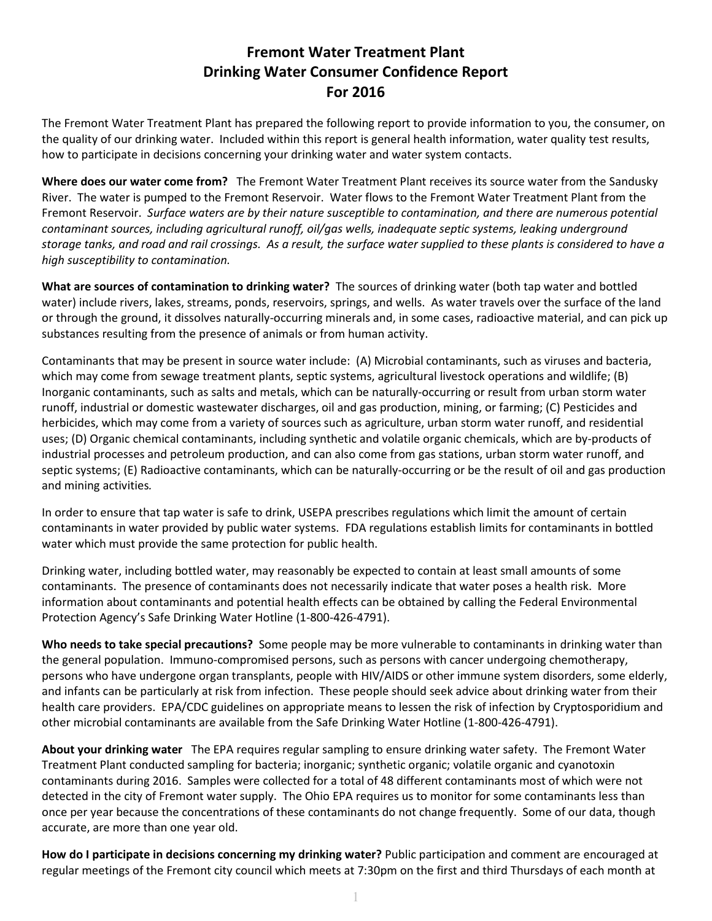## **Fremont Water Treatment Plant Drinking Water Consumer Confidence Report For 2016**

The Fremont Water Treatment Plant has prepared the following report to provide information to you, the consumer, on the quality of our drinking water. Included within this report is general health information, water quality test results, how to participate in decisions concerning your drinking water and water system contacts.

**Where does our water come from?** The Fremont Water Treatment Plant receives its source water from the Sandusky River. The water is pumped to the Fremont Reservoir. Water flows to the Fremont Water Treatment Plant from the Fremont Reservoir. *Surface waters are by their nature susceptible to contamination, and there are numerous potential contaminant sources, including agricultural runoff, oil/gas wells, inadequate septic systems, leaking underground storage tanks, and road and rail crossings. As a result, the surface water supplied to these plants is considered to have a high susceptibility to contamination.* 

**What are sources of contamination to drinking water?** The sources of drinking water (both tap water and bottled water) include rivers, lakes, streams, ponds, reservoirs, springs, and wells. As water travels over the surface of the land or through the ground, it dissolves naturally-occurring minerals and, in some cases, radioactive material, and can pick up substances resulting from the presence of animals or from human activity.

Contaminants that may be present in source water include: (A) Microbial contaminants, such as viruses and bacteria, which may come from sewage treatment plants, septic systems, agricultural livestock operations and wildlife; (B) Inorganic contaminants, such as salts and metals, which can be naturally-occurring or result from urban storm water runoff, industrial or domestic wastewater discharges, oil and gas production, mining, or farming; (C) Pesticides and herbicides, which may come from a variety of sources such as agriculture, urban storm water runoff, and residential uses; (D) Organic chemical contaminants, including synthetic and volatile organic chemicals, which are by-products of industrial processes and petroleum production, and can also come from gas stations, urban storm water runoff, and septic systems; (E) Radioactive contaminants, which can be naturally-occurring or be the result of oil and gas production and mining activities*.* 

In order to ensure that tap water is safe to drink, USEPA prescribes regulations which limit the amount of certain contaminants in water provided by public water systems. FDA regulations establish limits for contaminants in bottled water which must provide the same protection for public health.

Drinking water, including bottled water, may reasonably be expected to contain at least small amounts of some contaminants. The presence of contaminants does not necessarily indicate that water poses a health risk. More information about contaminants and potential health effects can be obtained by calling the Federal Environmental Protection Agency's Safe Drinking Water Hotline (1-800-426-4791).

**Who needs to take special precautions?** Some people may be more vulnerable to contaminants in drinking water than the general population. Immuno-compromised persons, such as persons with cancer undergoing chemotherapy, persons who have undergone organ transplants, people with HIV/AIDS or other immune system disorders, some elderly, and infants can be particularly at risk from infection. These people should seek advice about drinking water from their health care providers. EPA/CDC guidelines on appropriate means to lessen the risk of infection by Cryptosporidium and other microbial contaminants are available from the Safe Drinking Water Hotline (1-800-426-4791).

**About your drinking water** The EPA requires regular sampling to ensure drinking water safety. The Fremont Water Treatment Plant conducted sampling for bacteria; inorganic; synthetic organic; volatile organic and cyanotoxin contaminants during 2016. Samples were collected for a total of 48 different contaminants most of which were not detected in the city of Fremont water supply. The Ohio EPA requires us to monitor for some contaminants less than once per year because the concentrations of these contaminants do not change frequently. Some of our data, though accurate, are more than one year old.

**How do I participate in decisions concerning my drinking water?** Public participation and comment are encouraged at regular meetings of the Fremont city council which meets at 7:30pm on the first and third Thursdays of each month at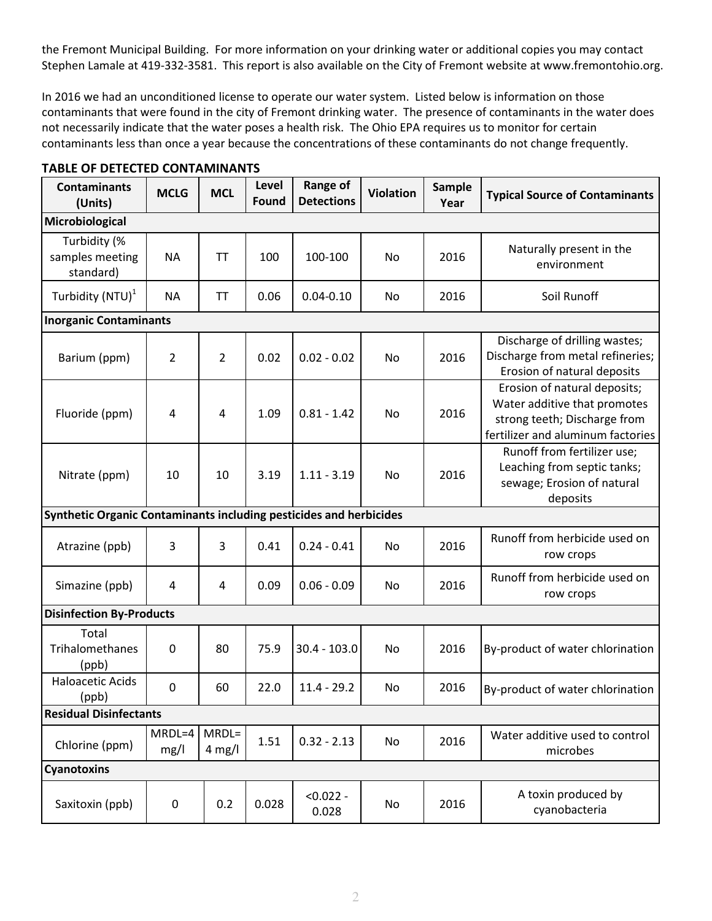the Fremont Municipal Building.For more information on your drinking water or additional copies you may contact Stephen Lamale at 419-332-3581. This report is also available on the City of Fremont website at www.fremontohio.org.

In 2016 we had an unconditioned license to operate our water system. Listed below is information on those contaminants that were found in the city of Fremont drinking water. The presence of contaminants in the water does not necessarily indicate that the water poses a health risk. The Ohio EPA requires us to monitor for certain contaminants less than once a year because the concentrations of these contaminants do not change frequently.

| <b>Contaminants</b><br>(Units)                                     | <b>MCLG</b>      | <b>MCL</b>          | Level<br><b>Found</b> | <b>Range of</b><br><b>Detections</b> | <b>Violation</b> | <b>Sample</b><br>Year | <b>Typical Source of Contaminants</b>                                                                                             |  |
|--------------------------------------------------------------------|------------------|---------------------|-----------------------|--------------------------------------|------------------|-----------------------|-----------------------------------------------------------------------------------------------------------------------------------|--|
| Microbiological                                                    |                  |                     |                       |                                      |                  |                       |                                                                                                                                   |  |
| Turbidity (%<br>samples meeting<br>standard)                       | <b>NA</b>        | <b>TT</b>           | 100                   | 100-100                              | No               | 2016                  | Naturally present in the<br>environment                                                                                           |  |
| Turbidity (NTU) <sup>1</sup>                                       | <b>NA</b>        | <b>TT</b>           | 0.06                  | $0.04 - 0.10$                        | No               | 2016                  | Soil Runoff                                                                                                                       |  |
| <b>Inorganic Contaminants</b>                                      |                  |                     |                       |                                      |                  |                       |                                                                                                                                   |  |
| Barium (ppm)                                                       | 2                | 2                   | 0.02                  | $0.02 - 0.02$                        | No               | 2016                  | Discharge of drilling wastes;<br>Discharge from metal refineries;<br>Erosion of natural deposits                                  |  |
| Fluoride (ppm)                                                     | 4                | 4                   | 1.09                  | $0.81 - 1.42$                        | No               | 2016                  | Erosion of natural deposits;<br>Water additive that promotes<br>strong teeth; Discharge from<br>fertilizer and aluminum factories |  |
| Nitrate (ppm)                                                      | 10               | 10                  | 3.19                  | $1.11 - 3.19$                        | No               | 2016                  | Runoff from fertilizer use;<br>Leaching from septic tanks;<br>sewage; Erosion of natural<br>deposits                              |  |
| Synthetic Organic Contaminants including pesticides and herbicides |                  |                     |                       |                                      |                  |                       |                                                                                                                                   |  |
| Atrazine (ppb)                                                     | 3                | 3                   | 0.41                  | $0.24 - 0.41$                        | No               | 2016                  | Runoff from herbicide used on<br>row crops                                                                                        |  |
| Simazine (ppb)                                                     | 4                | 4                   | 0.09                  | $0.06 - 0.09$                        | No               | 2016                  | Runoff from herbicide used on<br>row crops                                                                                        |  |
| <b>Disinfection By-Products</b>                                    |                  |                     |                       |                                      |                  |                       |                                                                                                                                   |  |
| Total<br><b>Trihalomethanes</b><br>(ppb)                           | $\mathbf 0$      | 80                  | 75.9                  | $30.4 - 103.0$                       | No               | 2016                  | By-product of water chlorination                                                                                                  |  |
| <b>Haloacetic Acids</b><br>(ppb)                                   | $\boldsymbol{0}$ | 60                  | 22.0                  | $11.4 - 29.2$                        | No               | 2016                  | By-product of water chlorination                                                                                                  |  |
| <b>Residual Disinfectants</b>                                      |                  |                     |                       |                                      |                  |                       |                                                                                                                                   |  |
| Chlorine (ppm)                                                     | MRDL=4<br>mg/l   | $MRDL=$<br>$4$ mg/l | 1.51                  | $0.32 - 2.13$                        | No               | 2016                  | Water additive used to control<br>microbes                                                                                        |  |
| <b>Cyanotoxins</b>                                                 |                  |                     |                       |                                      |                  |                       |                                                                                                                                   |  |
| Saxitoxin (ppb)                                                    | 0                | 0.2                 | 0.028                 | $< 0.022 -$<br>0.028                 | No               | 2016                  | A toxin produced by<br>cyanobacteria                                                                                              |  |

## **TABLE OF DETECTED CONTAMINANTS**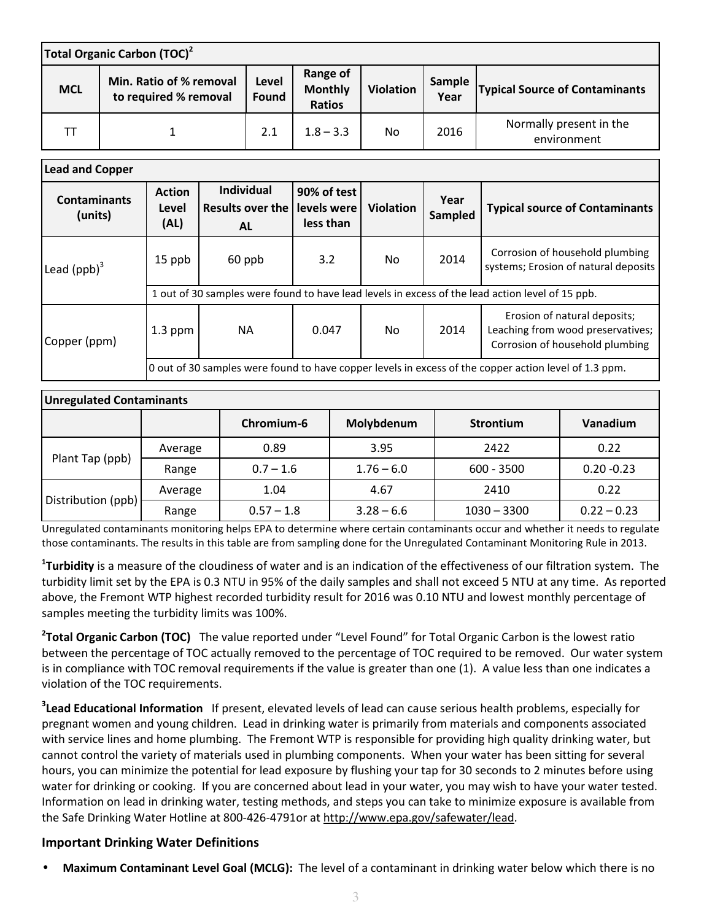| Total Organic Carbon (TOC) <sup>2</sup> |                                                  |                |                                             |                  |                |                                        |  |
|-----------------------------------------|--------------------------------------------------|----------------|---------------------------------------------|------------------|----------------|----------------------------------------|--|
| <b>MCL</b>                              | Min. Ratio of % removal<br>to required % removal | Level<br>Found | Range of<br><b>Monthly</b><br><b>Ratios</b> | <b>Violation</b> | Sample<br>Year | <b>Typical Source of Contaminants</b>  |  |
|                                         |                                                  | 2.1            | $1.8 - 3.3$                                 | No               | 2016           | Normally present in the<br>environment |  |

| <b>Lead and Copper</b>         |                                                                                                       |                                             |                                         |                  |                 |                                                                                                      |  |  |
|--------------------------------|-------------------------------------------------------------------------------------------------------|---------------------------------------------|-----------------------------------------|------------------|-----------------|------------------------------------------------------------------------------------------------------|--|--|
| <b>Contaminants</b><br>(units) | <b>Action</b><br>Level<br>(AL)                                                                        | <b>Individual</b><br>Results over the<br>AL | 90% of test<br>levels were<br>less than | <b>Violation</b> | Year<br>Sampled | <b>Typical source of Contaminants</b>                                                                |  |  |
| Lead $(ppb)^3$                 | 15 ppb                                                                                                | 60 ppb                                      | 3.2                                     | No.              | 2014            | Corrosion of household plumbing<br>systems; Erosion of natural deposits                              |  |  |
|                                | 1 out of 30 samples were found to have lead levels in excess of the lead action level of 15 ppb.      |                                             |                                         |                  |                 |                                                                                                      |  |  |
| Copper (ppm)                   | $1.3$ ppm                                                                                             | <b>NA</b>                                   | 0.047                                   | No.              | 2014            | Erosion of natural deposits;<br>Leaching from wood preservatives;<br>Corrosion of household plumbing |  |  |
|                                | 0 out of 30 samples were found to have copper levels in excess of the copper action level of 1.3 ppm. |                                             |                                         |                  |                 |                                                                                                      |  |  |

| <b>Unregulated Contaminants</b> |         |              |              |                  |               |  |  |  |
|---------------------------------|---------|--------------|--------------|------------------|---------------|--|--|--|
|                                 |         | Chromium-6   | Molybdenum   | <b>Strontium</b> | Vanadium      |  |  |  |
| Plant Tap (ppb)                 | Average | 0.89         | 3.95         | 2422             | 0.22          |  |  |  |
|                                 | Range   | $0.7 - 1.6$  | $1.76 - 6.0$ | $600 - 3500$     | $0.20 - 0.23$ |  |  |  |
| Distribution (ppb)              | Average | 1.04         | 4.67         | 2410             | 0.22          |  |  |  |
|                                 | Range   | $0.57 - 1.8$ | $3.28 - 6.6$ | $1030 - 3300$    | $0.22 - 0.23$ |  |  |  |

Unregulated contaminants monitoring helps EPA to determine where certain contaminants occur and whether it needs to regulate those contaminants. The results in this table are from sampling done for the Unregulated Contaminant Monitoring Rule in 2013.

**1 Turbidity** is a measure of the cloudiness of water and is an indication of the effectiveness of our filtration system. The turbidity limit set by the EPA is 0.3 NTU in 95% of the daily samples and shall not exceed 5 NTU at any time. As reported above, the Fremont WTP highest recorded turbidity result for 2016 was 0.10 NTU and lowest monthly percentage of samples meeting the turbidity limits was 100%.

**2 Total Organic Carbon (TOC)** The value reported under "Level Found" for Total Organic Carbon is the lowest ratio between the percentage of TOC actually removed to the percentage of TOC required to be removed. Our water system is in compliance with TOC removal requirements if the value is greater than one (1). A value less than one indicates a violation of the TOC requirements.

**3 Lead Educational Information** If present, elevated levels of lead can cause serious health problems, especially for pregnant women and young children. Lead in drinking water is primarily from materials and components associated with service lines and home plumbing. The Fremont WTP is responsible for providing high quality drinking water, but cannot control the variety of materials used in plumbing components. When your water has been sitting for several hours, you can minimize the potential for lead exposure by flushing your tap for 30 seconds to 2 minutes before using water for drinking or cooking. If you are concerned about lead in your water, you may wish to have your water tested. Information on lead in drinking water, testing methods, and steps you can take to minimize exposure is available from the Safe Drinking Water Hotline at 800-426-4791or at http://www.epa.gov/safewater/lead.

## **Important Drinking Water Definitions**

• **Maximum Contaminant Level Goal (MCLG):** The level of a contaminant in drinking water below which there is no